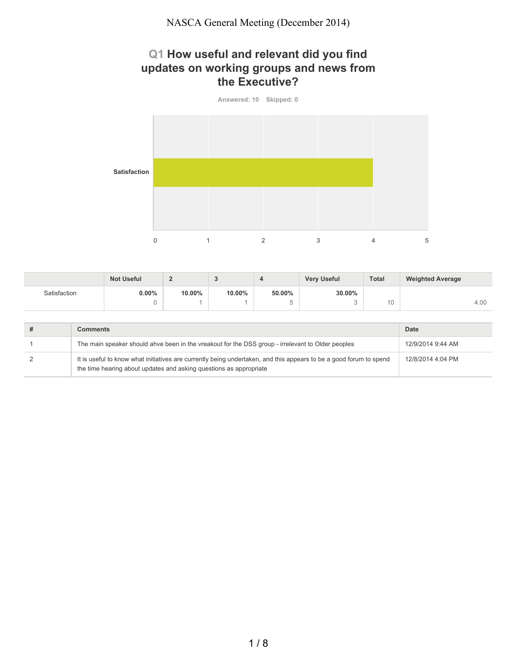## **Q1 How useful and relevant did you find updates on working groups and news from the Executive?**



|              | <b>Not Useful</b> |        |        |        | <b>Very Useful</b> | <b>Total</b>          | <b>Weighted Average</b> |
|--------------|-------------------|--------|--------|--------|--------------------|-----------------------|-------------------------|
| Satisfaction | $0.00\%$          | 10.00% | 10.00% | 50.00% | 30.00%             |                       |                         |
|              |                   |        |        |        |                    | $\overline{a}$<br>ıU. | 4.00                    |

| <b>Comments</b>                                                                                                                                                                          | Date              |
|------------------------------------------------------------------------------------------------------------------------------------------------------------------------------------------|-------------------|
| The main speaker should ahve been in the vreakout for the DSS group - irrelevant to Older peoples                                                                                        | 12/9/2014 9:44 AM |
| It is useful to know what initiatives are currently being undertaken, and this appears to be a good forum to spend<br>the time hearing about updates and asking questions as appropriate | 12/8/2014 4:04 PM |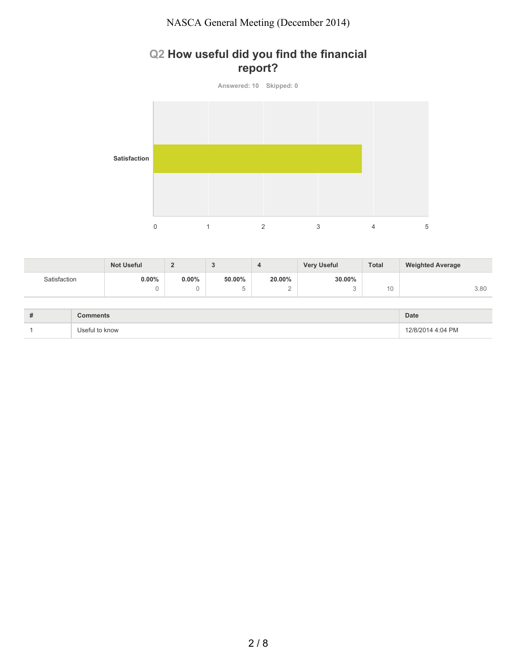#### NASCA General Meeting (December 2014)

# **Q2 How useful did you find the financial report?**

**Answered: 10 Skipped: 0 Satisfaction** 0 1 2 3 4 5

|              | <b>Not Useful</b> |          |        |        | <b>Very Useful</b> | <b>Total</b> | <b>Weighted Average</b> |
|--------------|-------------------|----------|--------|--------|--------------------|--------------|-------------------------|
| Satisfaction | $0.00\%$          | $0.00\%$ | 50.00% | 20.00% | 30.00%             |              |                         |
|              |                   |          |        | ∼      |                    | 10           | 3.80                    |

| # |                            | Date                 |
|---|----------------------------|----------------------|
|   | ln <sub>0</sub><br>to know | 14 4:04 PM<br>10100< |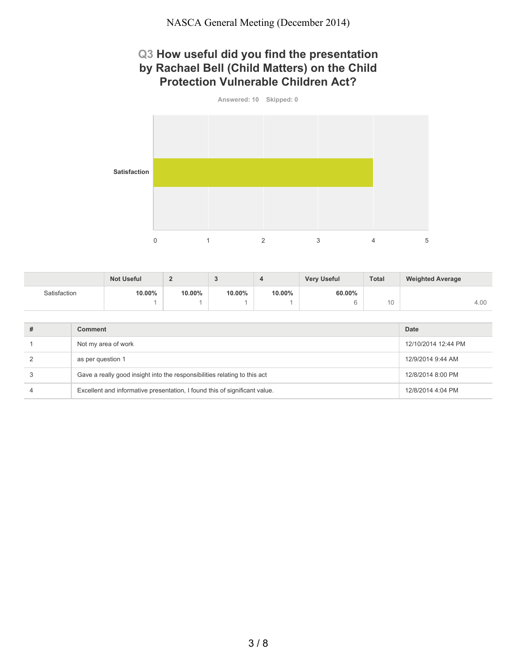## **Q3 How useful did you find the presentation by Rachael Bell (Child Matters) on the Child Protection Vulnerable Children Act?**



|              | <b>Not Useful</b> | $\sim$ | $\overline{\phantom{a}}$ |        | <b>Very Useful</b> | <b>Total</b> | <b>Weighted Average</b> |
|--------------|-------------------|--------|--------------------------|--------|--------------------|--------------|-------------------------|
| Satisfaction | 10.00%            | 10.00% | 10.00%                   | 10.00% | 60.00%             |              |                         |
|              |                   |        |                          |        |                    | U            | 4.00                    |

| # | Comment                                                                    | <b>Date</b>         |
|---|----------------------------------------------------------------------------|---------------------|
|   | Not my area of work                                                        | 12/10/2014 12:44 PM |
|   | as per question 1                                                          | 12/9/2014 9:44 AM   |
|   | Gave a really good insight into the responsibilities relating to this act  | 12/8/2014 8:00 PM   |
| 4 | Excellent and informative presentation, I found this of significant value. | 12/8/2014 4:04 PM   |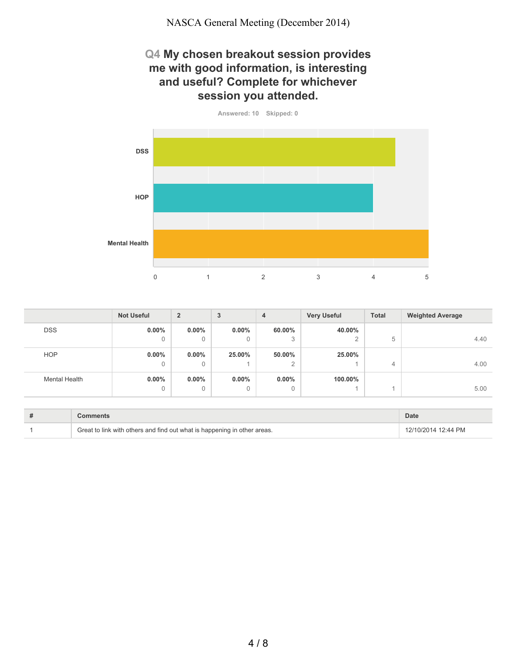NASCA General Meeting (December 2014)

### **Q4 My chosen breakout session provides me with good information, is interesting and useful? Complete for whichever session you attended.**

**Answered: 10 Skipped: 0 DSS HOP Mental Health** 0 1 2 3 4 5

|                      | <b>Not Useful</b> | $\overline{2}$ | 3             | 4                       | <b>Very Useful</b> | <b>Total</b> | <b>Weighted Average</b> |
|----------------------|-------------------|----------------|---------------|-------------------------|--------------------|--------------|-------------------------|
| <b>DSS</b>           | $0.00\%$<br>0     | 0.00%<br>0     | $0.00\%$      | 60.00%<br>3             | 40.00%<br>$\sim$   | 5            | 4.40                    |
| <b>HOP</b>           | $0.00\%$<br>0     | $0.00\%$<br>0  | 25.00%        | 50.00%<br>$\Omega$<br>∠ | 25.00%             | 4            | 4.00                    |
| <b>Mental Health</b> | $0.00\%$<br>0     | $0.00\%$<br>0  | $0.00\%$<br>0 | $0.00\%$<br>0           | 100.00%            |              | 5.00                    |

| # |                                                                          | Date                |
|---|--------------------------------------------------------------------------|---------------------|
|   | Great to link with others and find out what is happening in other areas. | 12/10/2014 12:44 PM |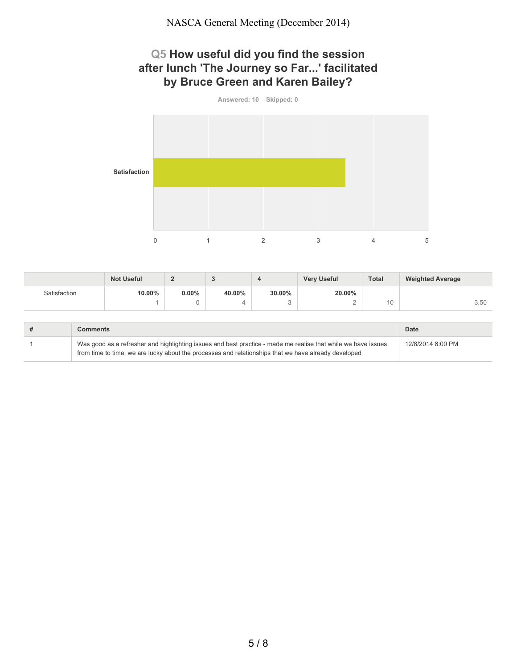## **Q5 How useful did you find the session after lunch 'The Journey so Far...' facilitated by Bruce Green and Karen Bailey?**



|              | <b>Not Useful</b> |          |        |        | <b>Very Useful</b> | <b>Total</b> | <b>Weighted Average</b> |
|--------------|-------------------|----------|--------|--------|--------------------|--------------|-------------------------|
| Satisfaction | 10.00%            | $0.00\%$ | 40.00% | 30.00% | 20.00%             |              |                         |
|              |                   |          |        | ◡      |                    | 10           | 3.50                    |

| <b>Comments</b>                                                                                                                                                                                                       | Date              |
|-----------------------------------------------------------------------------------------------------------------------------------------------------------------------------------------------------------------------|-------------------|
| Was good as a refresher and highlighting issues and best practice - made me realise that while we have issues<br>from time to time, we are lucky about the processes and relationships that we have already developed | 12/8/2014 8:00 PM |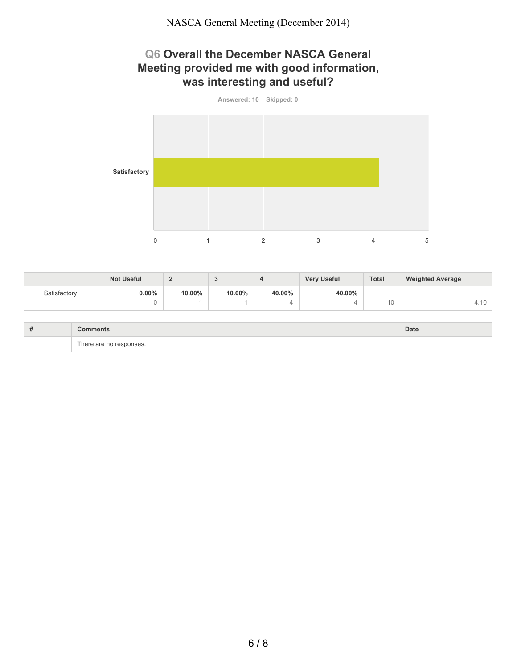## **Q6 Overall the December NASCA General Meeting provided me with good information, was interesting and useful?**



|              | <b>Not Useful</b> | -      |        |        | <b>Very Useful</b> | <b>Total</b> | <b>Weighted Average</b> |
|--------------|-------------------|--------|--------|--------|--------------------|--------------|-------------------------|
| Satisfactory | $0.00\%$          | 10.00% | 10.00% | 40.00% | 40.00%             |              |                         |
|              |                   |        |        |        |                    | 10           | 4.10                    |

| # | Common.                           | Date |
|---|-----------------------------------|------|
|   | $\sim$<br>There are no responses. |      |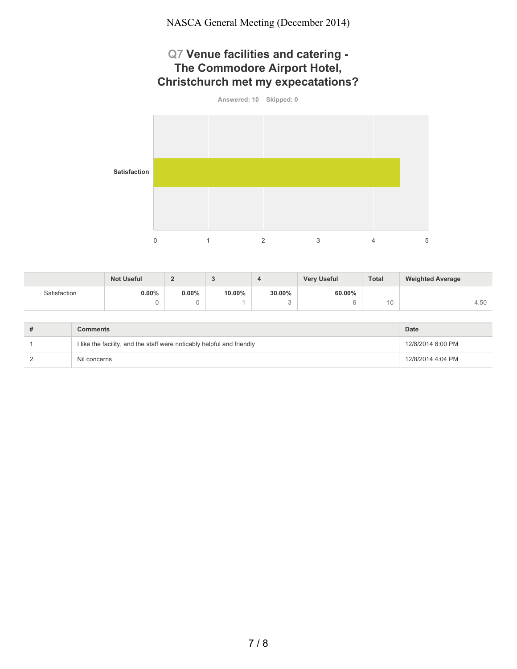# **Q7 Venue facilities and catering - The Commodore Airport Hotel, Christchurch met my expecatations?**



|              | <b>Not Useful</b> |          |        |        | <b>Very Useful</b> | <b>Total</b> | <b>Weighted Average</b> |
|--------------|-------------------|----------|--------|--------|--------------------|--------------|-------------------------|
| Satisfaction | $0.00\%$          | $0.00\%$ | 10.00% | 30.00% | 60.00%             |              |                         |
|              |                   |          |        | ັ      |                    | U            | 4.50                    |

| # | <b>Comments</b>                                                        | <b>Date</b>       |
|---|------------------------------------------------------------------------|-------------------|
|   | I like the facility, and the staff were noticably helpful and friendly | 12/8/2014 8:00 PM |
|   | Nil concerns                                                           | 12/8/2014 4:04 PM |